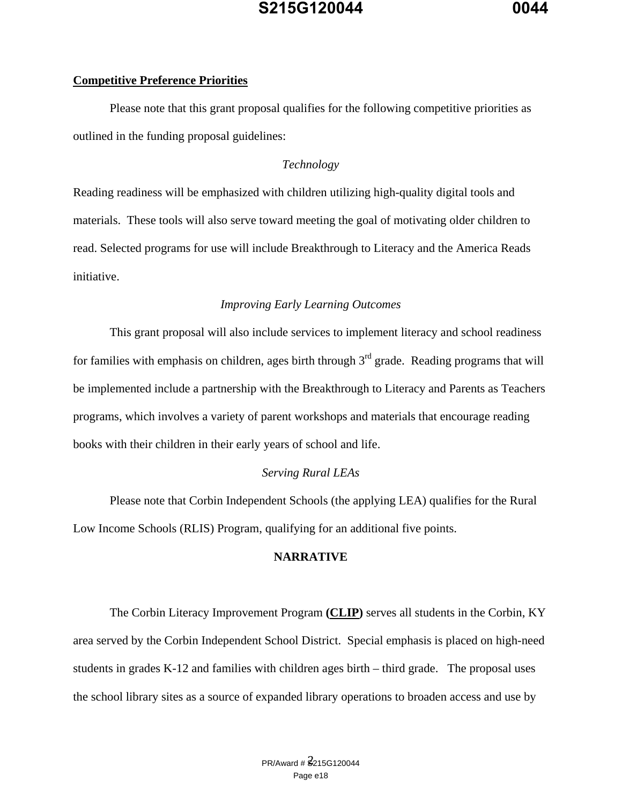#### **Competitive Preference Priorities**

 Please note that this grant proposal qualifies for the following competitive priorities as outlined in the funding proposal guidelines:

#### *Technology*

Reading readiness will be emphasized with children utilizing high-quality digital tools and materials. These tools will also serve toward meeting the goal of motivating older children to read. Selected programs for use will include Breakthrough to Literacy and the America Reads initiative.

#### *Improving Early Learning Outcomes*

 This grant proposal will also include services to implement literacy and school readiness for families with emphasis on children, ages birth through  $3<sup>rd</sup>$  grade. Reading programs that will be implemented include a partnership with the Breakthrough to Literacy and Parents as Teachers programs, which involves a variety of parent workshops and materials that encourage reading books with their children in their early years of school and life.

#### *Serving Rural LEAs*

 Please note that Corbin Independent Schools (the applying LEA) qualifies for the Rural Low Income Schools (RLIS) Program, qualifying for an additional five points.

#### **NARRATIVE**

The Corbin Literacy Improvement Program **(CLIP)** serves all students in the Corbin, KY area served by the Corbin Independent School District. Special emphasis is placed on high-need students in grades K-12 and families with children ages birth – third grade. The proposal uses the school library sites as a source of expanded library operations to broaden access and use by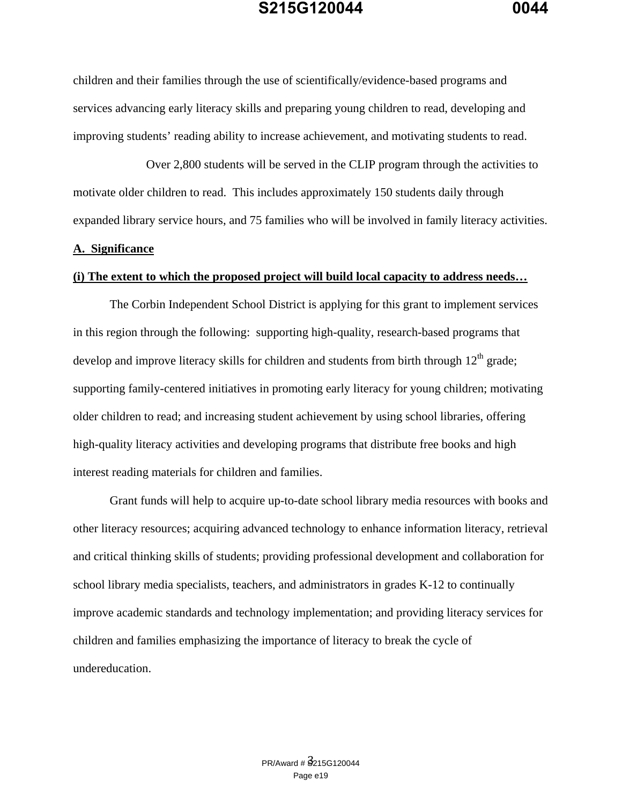children and their families through the use of scientifically/evidence-based programs and services advancing early literacy skills and preparing young children to read, developing and improving students' reading ability to increase achievement, and motivating students to read.

 Over 2,800 students will be served in the CLIP program through the activities to motivate older children to read. This includes approximately 150 students daily through expanded library service hours, and 75 families who will be involved in family literacy activities.

#### **A. Significance**

#### **(i) The extent to which the proposed project will build local capacity to address needs…**

The Corbin Independent School District is applying for this grant to implement services in this region through the following: supporting high-quality, research-based programs that develop and improve literacy skills for children and students from birth through  $12<sup>th</sup>$  grade; supporting family-centered initiatives in promoting early literacy for young children; motivating older children to read; and increasing student achievement by using school libraries, offering high-quality literacy activities and developing programs that distribute free books and high interest reading materials for children and families.

Grant funds will help to acquire up-to-date school library media resources with books and other literacy resources; acquiring advanced technology to enhance information literacy, retrieval and critical thinking skills of students; providing professional development and collaboration for school library media specialists, teachers, and administrators in grades K-12 to continually improve academic standards and technology implementation; and providing literacy services for children and families emphasizing the importance of literacy to break the cycle of undereducation.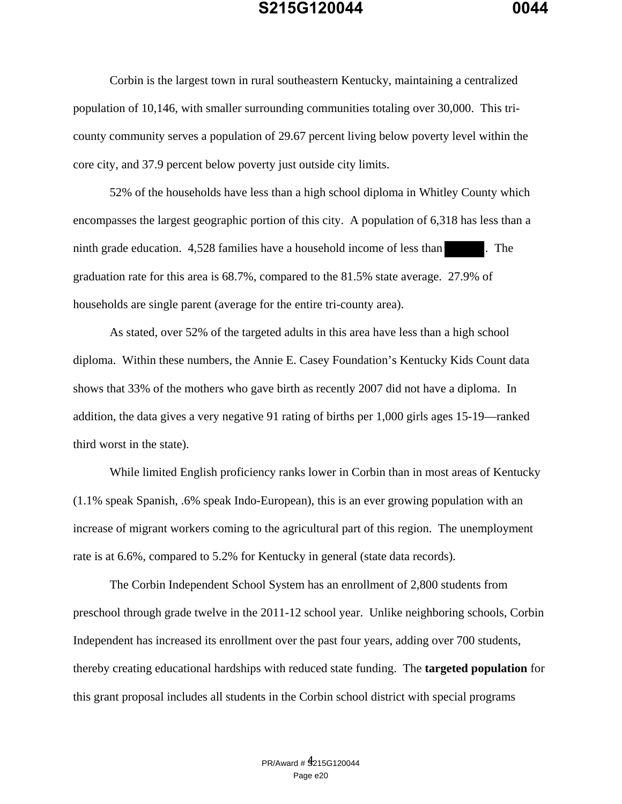Corbin is the largest town in rural southeastern Kentucky, maintaining a centralized population of 10,146, with smaller surrounding communities totaling over 30,000. This tricounty community serves a population of 29.67 percent living below poverty level within the core city, and 37.9 percent below poverty just outside city limits.

52% of the households have less than a high school diploma in Whitley County which encompasses the largest geographic portion of this city. A population of 6,318 has less than a ninth grade education. 4,528 families have a household income of less than . The graduation rate for this area is 68.7%, compared to the 81.5% state average. 27.9% of households are single parent (average for the entire tri-county area).

 As stated, over 52% of the targeted adults in this area have less than a high school diploma. Within these numbers, the Annie E. Casey Foundation's Kentucky Kids Count data shows that 33% of the mothers who gave birth as recently 2007 did not have a diploma. In addition, the data gives a very negative 91 rating of births per 1,000 girls ages 15-19—ranked third worst in the state).

 While limited English proficiency ranks lower in Corbin than in most areas of Kentucky (1.1% speak Spanish, .6% speak Indo-European), this is an ever growing population with an increase of migrant workers coming to the agricultural part of this region. The unemployment rate is at 6.6%, compared to 5.2% for Kentucky in general (state data records).

The Corbin Independent School System has an enrollment of 2,800 students from preschool through grade twelve in the 2011-12 school year. Unlike neighboring schools, Corbin Independent has increased its enrollment over the past four years, adding over 700 students, thereby creating educational hardships with reduced state funding. The **targeted population** for this grant proposal includes all students in the Corbin school district with special programs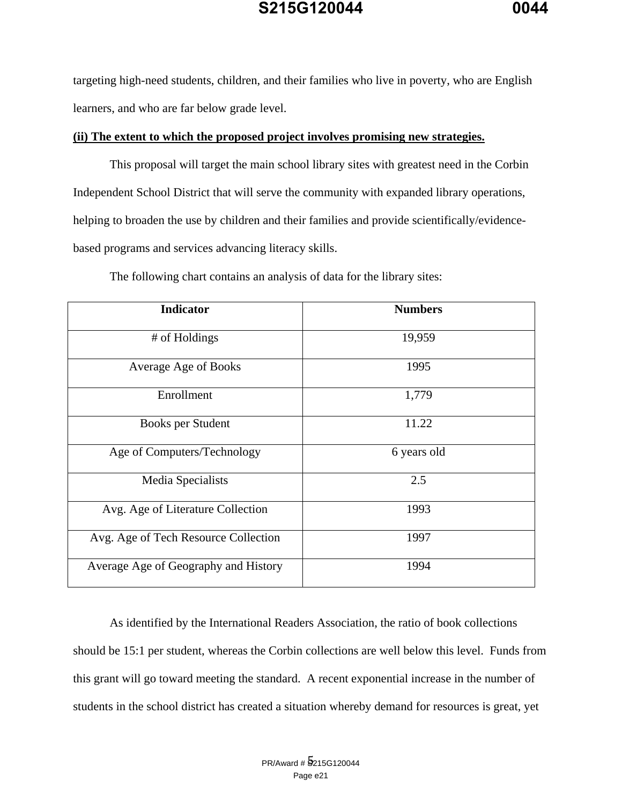targeting high-need students, children, and their families who live in poverty, who are English learners, and who are far below grade level.

#### **(ii) The extent to which the proposed project involves promising new strategies.**

 This proposal will target the main school library sites with greatest need in the Corbin Independent School District that will serve the community with expanded library operations, helping to broaden the use by children and their families and provide scientifically/evidencebased programs and services advancing literacy skills.

| <b>Indicator</b>                     | <b>Numbers</b> |
|--------------------------------------|----------------|
| # of Holdings                        | 19,959         |
| <b>Average Age of Books</b>          | 1995           |
| Enrollment                           | 1,779          |
| <b>Books per Student</b>             | 11.22          |
| Age of Computers/Technology          | 6 years old    |
| Media Specialists                    | 2.5            |
| Avg. Age of Literature Collection    | 1993           |
| Avg. Age of Tech Resource Collection | 1997           |
| Average Age of Geography and History | 1994           |

The following chart contains an analysis of data for the library sites:

As identified by the International Readers Association, the ratio of book collections should be 15:1 per student, whereas the Corbin collections are well below this level. Funds from this grant will go toward meeting the standard. A recent exponential increase in the number of students in the school district has created a situation whereby demand for resources is great, yet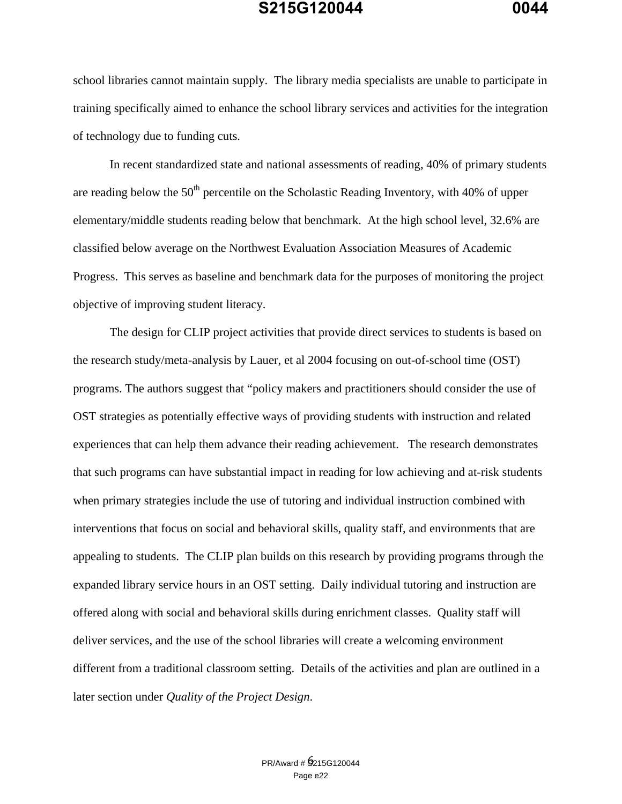school libraries cannot maintain supply. The library media specialists are unable to participate in training specifically aimed to enhance the school library services and activities for the integration of technology due to funding cuts.

 In recent standardized state and national assessments of reading, 40% of primary students are reading below the  $50<sup>th</sup>$  percentile on the Scholastic Reading Inventory, with 40% of upper elementary/middle students reading below that benchmark. At the high school level, 32.6% are classified below average on the Northwest Evaluation Association Measures of Academic Progress. This serves as baseline and benchmark data for the purposes of monitoring the project objective of improving student literacy.

 The design for CLIP project activities that provide direct services to students is based on the research study/meta-analysis by Lauer, et al 2004 focusing on out-of-school time (OST) programs. The authors suggest that "policy makers and practitioners should consider the use of OST strategies as potentially effective ways of providing students with instruction and related experiences that can help them advance their reading achievement. The research demonstrates that such programs can have substantial impact in reading for low achieving and at-risk students when primary strategies include the use of tutoring and individual instruction combined with interventions that focus on social and behavioral skills, quality staff, and environments that are appealing to students. The CLIP plan builds on this research by providing programs through the expanded library service hours in an OST setting. Daily individual tutoring and instruction are offered along with social and behavioral skills during enrichment classes. Quality staff will deliver services, and the use of the school libraries will create a welcoming environment different from a traditional classroom setting. Details of the activities and plan are outlined in a later section under *Quality of the Project Design*.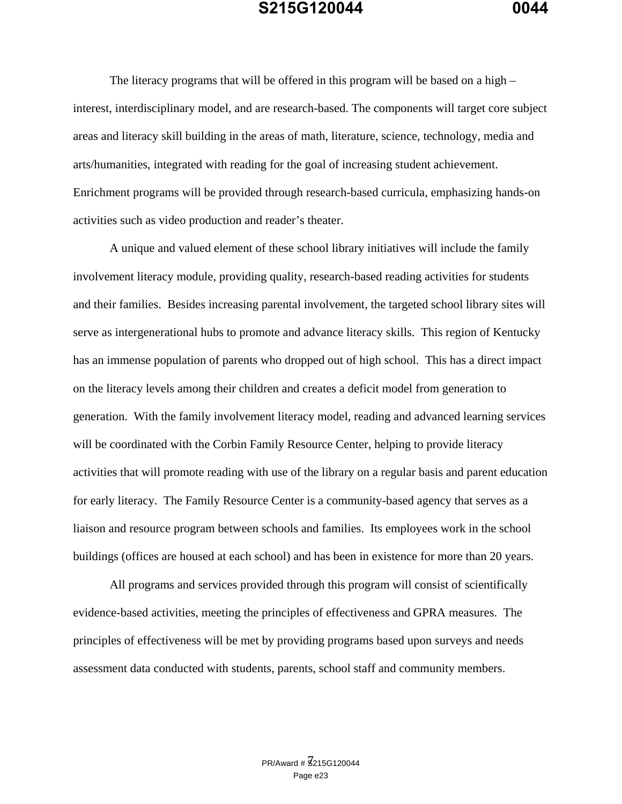The literacy programs that will be offered in this program will be based on a high – interest, interdisciplinary model, and are research-based. The components will target core subject areas and literacy skill building in the areas of math, literature, science, technology, media and arts/humanities, integrated with reading for the goal of increasing student achievement. Enrichment programs will be provided through research-based curricula, emphasizing hands-on activities such as video production and reader's theater.

 A unique and valued element of these school library initiatives will include the family involvement literacy module, providing quality, research-based reading activities for students and their families. Besides increasing parental involvement, the targeted school library sites will serve as intergenerational hubs to promote and advance literacy skills. This region of Kentucky has an immense population of parents who dropped out of high school. This has a direct impact on the literacy levels among their children and creates a deficit model from generation to generation. With the family involvement literacy model, reading and advanced learning services will be coordinated with the Corbin Family Resource Center, helping to provide literacy activities that will promote reading with use of the library on a regular basis and parent education for early literacy. The Family Resource Center is a community-based agency that serves as a liaison and resource program between schools and families. Its employees work in the school buildings (offices are housed at each school) and has been in existence for more than 20 years.

 All programs and services provided through this program will consist of scientifically evidence-based activities, meeting the principles of effectiveness and GPRA measures. The principles of effectiveness will be met by providing programs based upon surveys and needs assessment data conducted with students, parents, school staff and community members.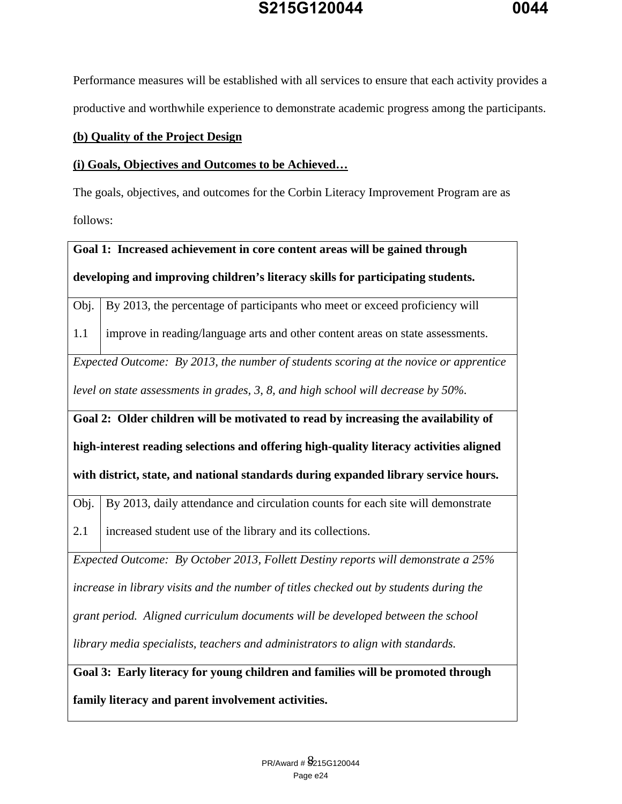Performance measures will be established with all services to ensure that each activity provides a productive and worthwhile experience to demonstrate academic progress among the participants.

#### **(b) Quality of the Project Design**

#### **(i) Goals, Objectives and Outcomes to be Achieved…**

The goals, objectives, and outcomes for the Corbin Literacy Improvement Program are as follows:

# **Goal 1: Increased achievement in core content areas will be gained through developing and improving children's literacy skills for participating students.**

Obj. By 2013, the percentage of participants who meet or exceed proficiency will

1.1 improve in reading/language arts and other content areas on state assessments.

*Expected Outcome: By 2013, the number of students scoring at the novice or apprentice level on state assessments in grades, 3, 8, and high school will decrease by 50%.* 

**Goal 2: Older children will be motivated to read by increasing the availability of** 

**high-interest reading selections and offering high-quality literacy activities aligned** 

**with district, state, and national standards during expanded library service hours.** 

Obj. By 2013, daily attendance and circulation counts for each site will demonstrate

2.1 increased student use of the library and its collections.

*Expected Outcome: By October 2013, Follett Destiny reports will demonstrate a 25%* 

*increase in library visits and the number of titles checked out by students during the* 

*grant period. Aligned curriculum documents will be developed between the school* 

*library media specialists, teachers and administrators to align with standards.* 

**Goal 3: Early literacy for young children and families will be promoted through family literacy and parent involvement activities.**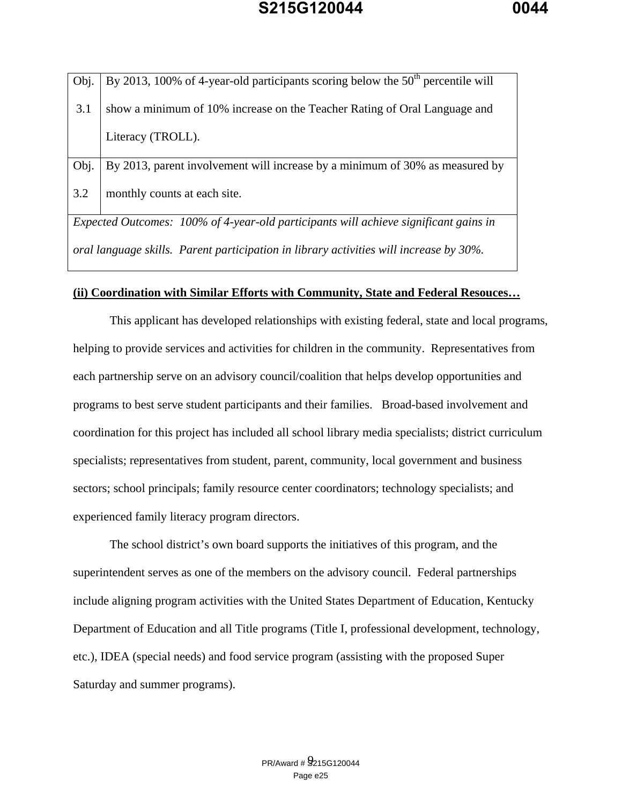| Obj. | By 2013, 100% of 4-year-old participants scoring below the $50th$ percentile will |
|------|-----------------------------------------------------------------------------------|
| 3.1  | show a minimum of 10% increase on the Teacher Rating of Oral Language and         |
|      | Literacy (TROLL).                                                                 |
| Obj. | By 2013, parent involvement will increase by a minimum of 30% as measured by      |
| 3.2  | monthly counts at each site.                                                      |

*Expected Outcomes: 100% of 4-year-old participants will achieve significant gains in oral language skills. Parent participation in library activities will increase by 30%.* 

#### **(ii) Coordination with Similar Efforts with Community, State and Federal Resouces…**

 This applicant has developed relationships with existing federal, state and local programs, helping to provide services and activities for children in the community. Representatives from each partnership serve on an advisory council/coalition that helps develop opportunities and programs to best serve student participants and their families. Broad-based involvement and coordination for this project has included all school library media specialists; district curriculum specialists; representatives from student, parent, community, local government and business sectors; school principals; family resource center coordinators; technology specialists; and experienced family literacy program directors.

 The school district's own board supports the initiatives of this program, and the superintendent serves as one of the members on the advisory council. Federal partnerships include aligning program activities with the United States Department of Education, Kentucky Department of Education and all Title programs (Title I, professional development, technology, etc.), IDEA (special needs) and food service program (assisting with the proposed Super Saturday and summer programs).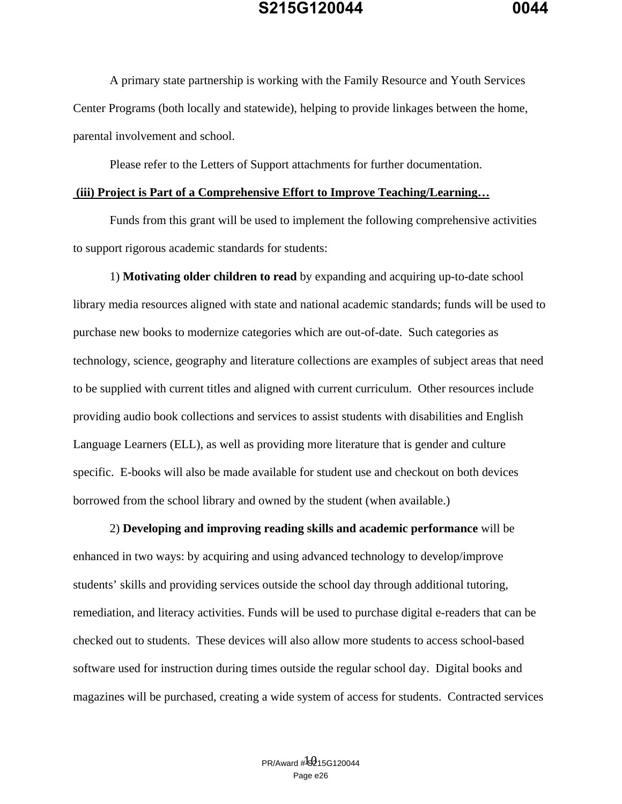A primary state partnership is working with the Family Resource and Youth Services Center Programs (both locally and statewide), helping to provide linkages between the home, parental involvement and school.

Please refer to the Letters of Support attachments for further documentation.

#### **(iii) Project is Part of a Comprehensive Effort to Improve Teaching/Learning…**

 Funds from this grant will be used to implement the following comprehensive activities to support rigorous academic standards for students:

 1) **Motivating older children to read** by expanding and acquiring up-to-date school library media resources aligned with state and national academic standards; funds will be used to purchase new books to modernize categories which are out-of-date. Such categories as technology, science, geography and literature collections are examples of subject areas that need to be supplied with current titles and aligned with current curriculum. Other resources include providing audio book collections and services to assist students with disabilities and English Language Learners (ELL), as well as providing more literature that is gender and culture specific. E-books will also be made available for student use and checkout on both devices borrowed from the school library and owned by the student (when available.)

 2) **Developing and improving reading skills and academic performance** will be enhanced in two ways: by acquiring and using advanced technology to develop/improve students' skills and providing services outside the school day through additional tutoring, remediation, and literacy activities. Funds will be used to purchase digital e-readers that can be checked out to students. These devices will also allow more students to access school-based software used for instruction during times outside the regular school day. Digital books and magazines will be purchased, creating a wide system of access for students. Contracted services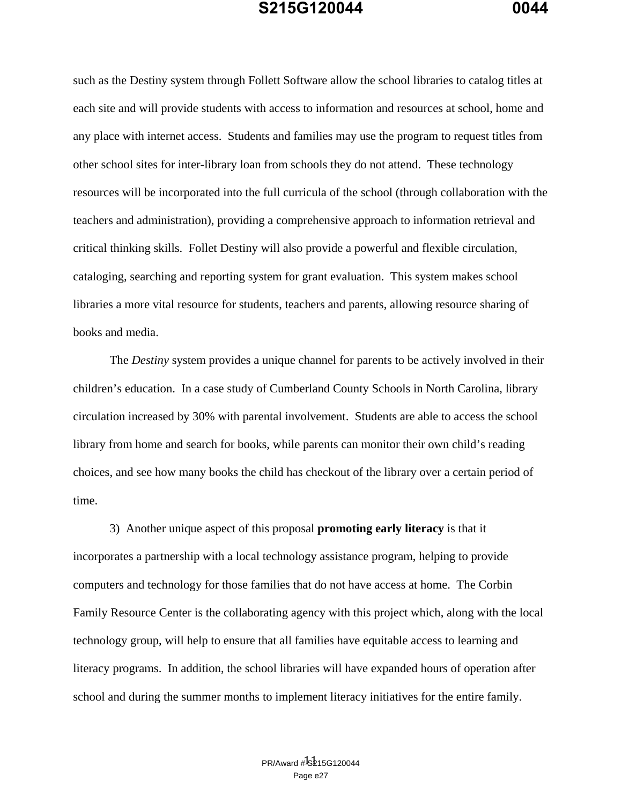such as the Destiny system through Follett Software allow the school libraries to catalog titles at each site and will provide students with access to information and resources at school, home and any place with internet access. Students and families may use the program to request titles from other school sites for inter-library loan from schools they do not attend. These technology resources will be incorporated into the full curricula of the school (through collaboration with the teachers and administration), providing a comprehensive approach to information retrieval and critical thinking skills. Follet Destiny will also provide a powerful and flexible circulation, cataloging, searching and reporting system for grant evaluation. This system makes school libraries a more vital resource for students, teachers and parents, allowing resource sharing of books and media.

 The *Destiny* system provides a unique channel for parents to be actively involved in their children's education. In a case study of Cumberland County Schools in North Carolina, library circulation increased by 30% with parental involvement. Students are able to access the school library from home and search for books, while parents can monitor their own child's reading choices, and see how many books the child has checkout of the library over a certain period of time.

 3) Another unique aspect of this proposal **promoting early literacy** is that it incorporates a partnership with a local technology assistance program, helping to provide computers and technology for those families that do not have access at home. The Corbin Family Resource Center is the collaborating agency with this project which, along with the local technology group, will help to ensure that all families have equitable access to learning and literacy programs. In addition, the school libraries will have expanded hours of operation after school and during the summer months to implement literacy initiatives for the entire family.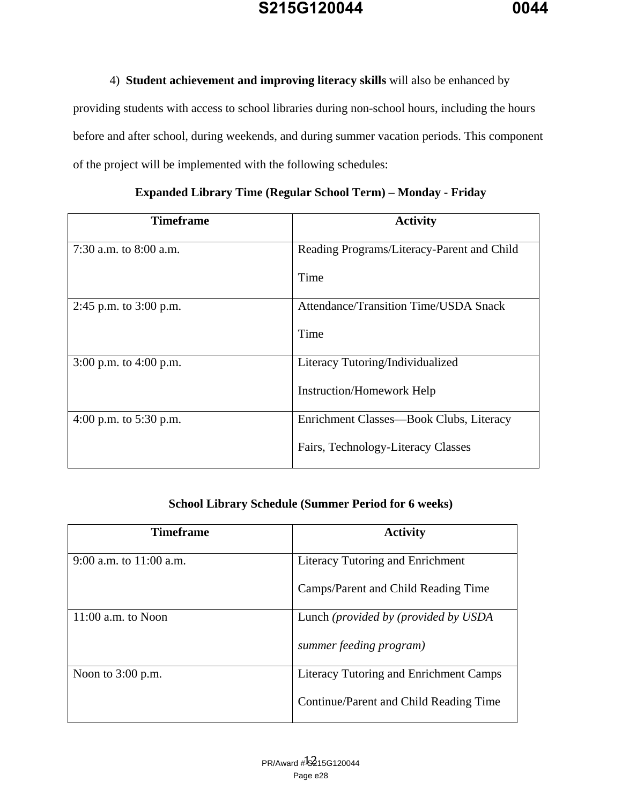### 4) **Student achievement and improving literacy skills** will also be enhanced by

providing students with access to school libraries during non-school hours, including the hours before and after school, during weekends, and during summer vacation periods. This component of the project will be implemented with the following schedules:

| <b>Timeframe</b>         | <b>Activity</b>                              |
|--------------------------|----------------------------------------------|
| 7:30 a.m. to $8:00$ a.m. | Reading Programs/Literacy-Parent and Child   |
|                          | Time                                         |
| 2:45 p.m. to 3:00 p.m.   | <b>Attendance/Transition Time/USDA Snack</b> |
|                          | Time                                         |
| 3:00 p.m. to 4:00 p.m.   | Literacy Tutoring/Individualized             |
|                          | <b>Instruction/Homework Help</b>             |
| 4:00 p.m. to $5:30$ p.m. | Enrichment Classes—Book Clubs, Literacy      |
|                          | Fairs, Technology-Literacy Classes           |

### **Expanded Library Time (Regular School Term) – Monday - Friday**

### **School Library Schedule (Summer Period for 6 weeks)**

| <b>Timeframe</b>          | <b>Activity</b>                               |
|---------------------------|-----------------------------------------------|
| 9:00 a.m. to $11:00$ a.m. | Literacy Tutoring and Enrichment              |
|                           | Camps/Parent and Child Reading Time           |
| $11:00$ a.m. to Noon      | Lunch (provided by (provided by USDA          |
|                           | summer feeding program)                       |
| Noon to $3:00$ p.m.       | <b>Literacy Tutoring and Enrichment Camps</b> |
|                           | Continue/Parent and Child Reading Time        |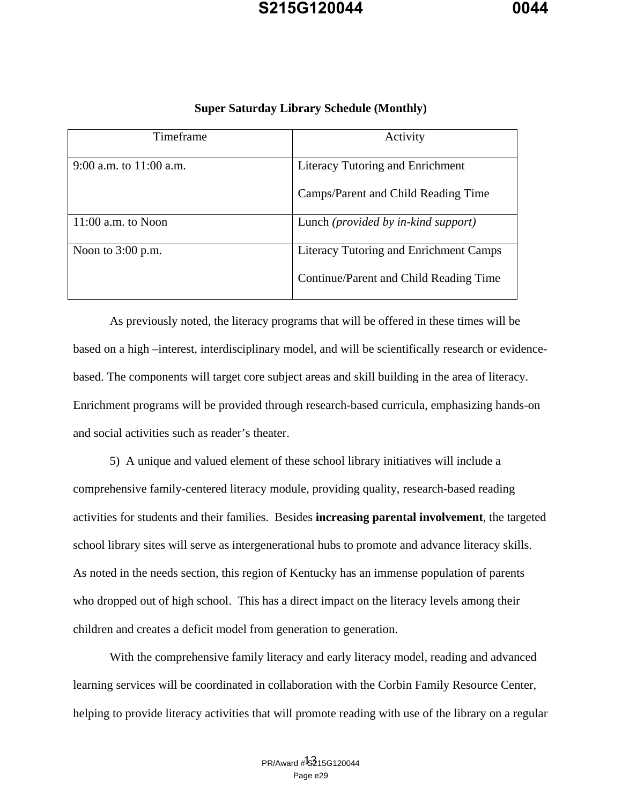| Timeframe                 | Activity                                      |
|---------------------------|-----------------------------------------------|
| 9:00 a.m. to $11:00$ a.m. | Literacy Tutoring and Enrichment              |
|                           | Camps/Parent and Child Reading Time           |
| $11:00$ a.m. to Noon      | Lunch ( <i>provided by in-kind support</i> )  |
| Noon to $3:00$ p.m.       | <b>Literacy Tutoring and Enrichment Camps</b> |
|                           | Continue/Parent and Child Reading Time        |

#### **Super Saturday Library Schedule (Monthly)**

 As previously noted, the literacy programs that will be offered in these times will be based on a high –interest, interdisciplinary model, and will be scientifically research or evidencebased. The components will target core subject areas and skill building in the area of literacy. Enrichment programs will be provided through research-based curricula, emphasizing hands-on and social activities such as reader's theater.

 5) A unique and valued element of these school library initiatives will include a comprehensive family-centered literacy module, providing quality, research-based reading activities for students and their families. Besides **increasing parental involvement**, the targeted school library sites will serve as intergenerational hubs to promote and advance literacy skills. As noted in the needs section, this region of Kentucky has an immense population of parents who dropped out of high school. This has a direct impact on the literacy levels among their children and creates a deficit model from generation to generation.

 With the comprehensive family literacy and early literacy model, reading and advanced learning services will be coordinated in collaboration with the Corbin Family Resource Center, helping to provide literacy activities that will promote reading with use of the library on a regular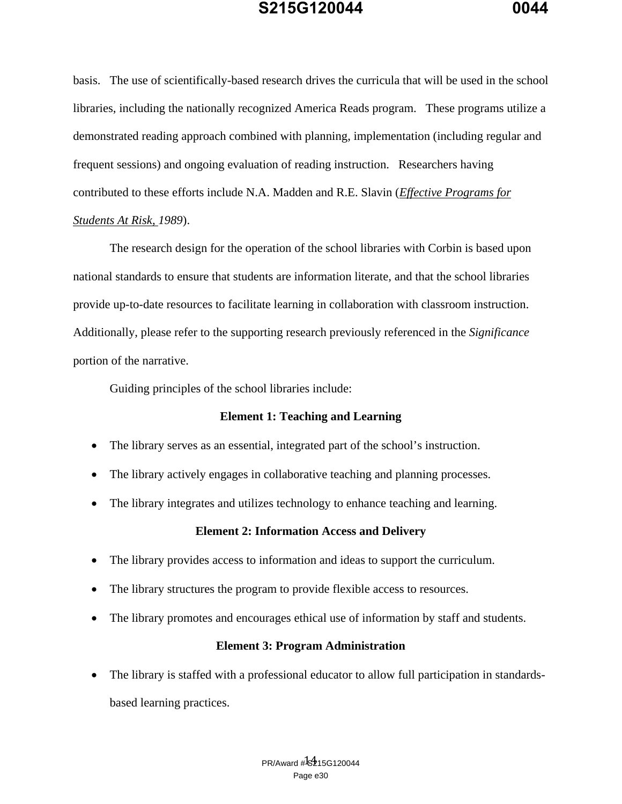basis. The use of scientifically-based research drives the curricula that will be used in the school libraries, including the nationally recognized America Reads program. These programs utilize a demonstrated reading approach combined with planning, implementation (including regular and frequent sessions) and ongoing evaluation of reading instruction. Researchers having contributed to these efforts include N.A. Madden and R.E. Slavin (*Effective Programs for Students At Risk, 1989*).

 The research design for the operation of the school libraries with Corbin is based upon national standards to ensure that students are information literate, and that the school libraries provide up-to-date resources to facilitate learning in collaboration with classroom instruction. Additionally, please refer to the supporting research previously referenced in the *Significance*  portion of the narrative.

Guiding principles of the school libraries include:

### **Element 1: Teaching and Learning**

- The library serves as an essential, integrated part of the school's instruction.
- The library actively engages in collaborative teaching and planning processes.
- The library integrates and utilizes technology to enhance teaching and learning.

### **Element 2: Information Access and Delivery**

- The library provides access to information and ideas to support the curriculum.
- The library structures the program to provide flexible access to resources.
- The library promotes and encourages ethical use of information by staff and students.

### **Element 3: Program Administration**

 The library is staffed with a professional educator to allow full participation in standardsbased learning practices.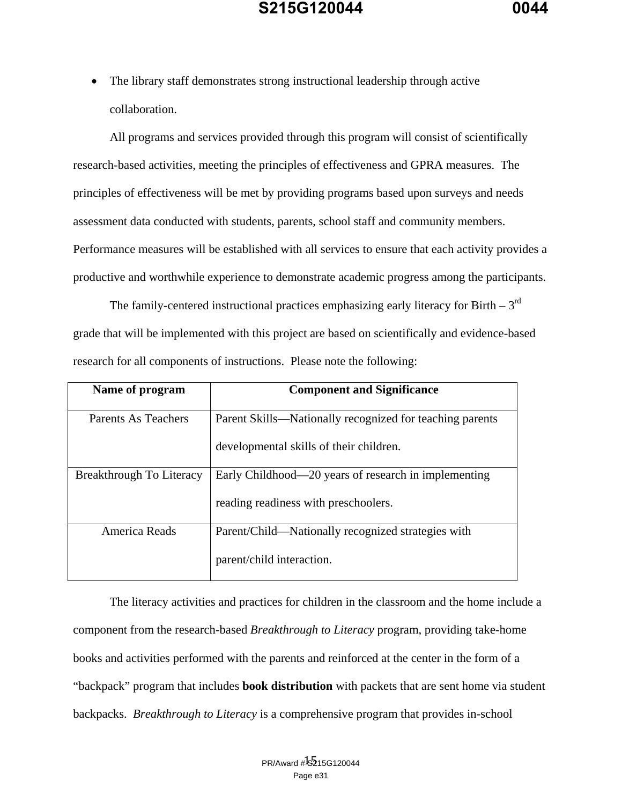The library staff demonstrates strong instructional leadership through active collaboration.

 All programs and services provided through this program will consist of scientifically research-based activities, meeting the principles of effectiveness and GPRA measures. The principles of effectiveness will be met by providing programs based upon surveys and needs assessment data conducted with students, parents, school staff and community members. Performance measures will be established with all services to ensure that each activity provides a productive and worthwhile experience to demonstrate academic progress among the participants.

The family-centered instructional practices emphasizing early literacy for Birth  $-3<sup>rd</sup>$ grade that will be implemented with this project are based on scientifically and evidence-based research for all components of instructions. Please note the following:

| Name of program          | <b>Component and Significance</b>                        |  |
|--------------------------|----------------------------------------------------------|--|
| Parents As Teachers      | Parent Skills—Nationally recognized for teaching parents |  |
|                          | developmental skills of their children.                  |  |
| Breakthrough To Literacy | Early Childhood—20 years of research in implementing     |  |
|                          | reading readiness with preschoolers.                     |  |
| America Reads            | Parent/Child—Nationally recognized strategies with       |  |
|                          | parent/child interaction.                                |  |

The literacy activities and practices for children in the classroom and the home include a component from the research-based *Breakthrough to Literacy* program, providing take-home books and activities performed with the parents and reinforced at the center in the form of a "backpack" program that includes **book distribution** with packets that are sent home via student backpacks. *Breakthrough to Literacy* is a comprehensive program that provides in-school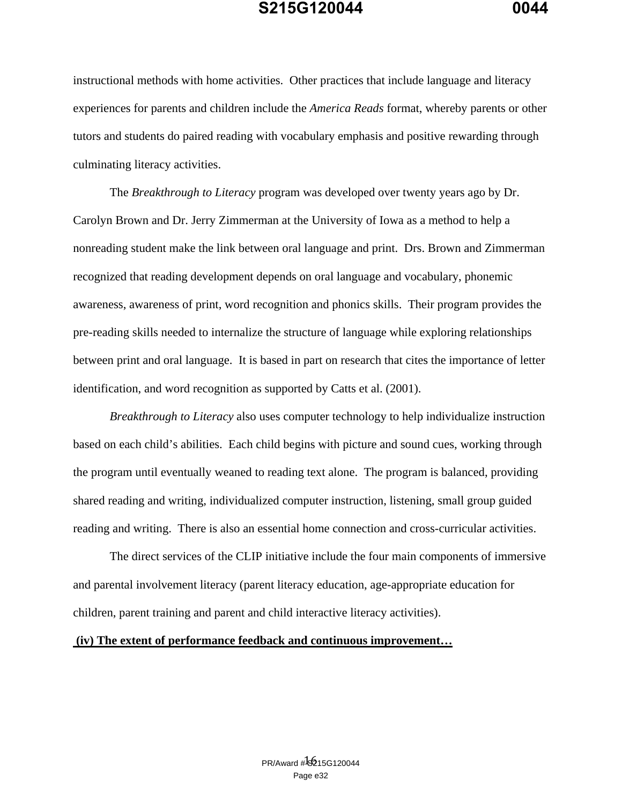instructional methods with home activities. Other practices that include language and literacy experiences for parents and children include the *America Reads* format, whereby parents or other tutors and students do paired reading with vocabulary emphasis and positive rewarding through culminating literacy activities.

 The *Breakthrough to Literacy* program was developed over twenty years ago by Dr. Carolyn Brown and Dr. Jerry Zimmerman at the University of Iowa as a method to help a nonreading student make the link between oral language and print. Drs. Brown and Zimmerman recognized that reading development depends on oral language and vocabulary, phonemic awareness, awareness of print, word recognition and phonics skills. Their program provides the pre-reading skills needed to internalize the structure of language while exploring relationships between print and oral language. It is based in part on research that cites the importance of letter identification, and word recognition as supported by Catts et al. (2001).

*Breakthrough to Literacy* also uses computer technology to help individualize instruction based on each child's abilities. Each child begins with picture and sound cues, working through the program until eventually weaned to reading text alone. The program is balanced, providing shared reading and writing, individualized computer instruction, listening, small group guided reading and writing. There is also an essential home connection and cross-curricular activities.

 The direct services of the CLIP initiative include the four main components of immersive and parental involvement literacy (parent literacy education, age-appropriate education for children, parent training and parent and child interactive literacy activities).

#### **(iv) The extent of performance feedback and continuous improvement…**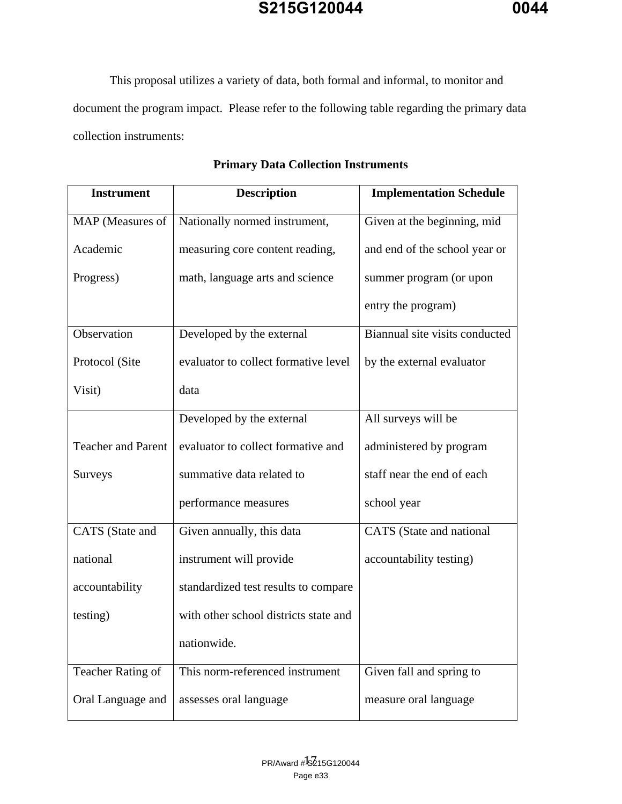This proposal utilizes a variety of data, both formal and informal, to monitor and document the program impact. Please refer to the following table regarding the primary data collection instruments:

| <b>Instrument</b>         | <b>Description</b>                    | <b>Implementation Schedule</b> |
|---------------------------|---------------------------------------|--------------------------------|
| MAP (Measures of          | Nationally normed instrument,         | Given at the beginning, mid    |
| Academic                  | measuring core content reading,       | and end of the school year or  |
| Progress)                 | math, language arts and science       | summer program (or upon        |
|                           |                                       | entry the program)             |
| Observation               | Developed by the external             | Biannual site visits conducted |
| Protocol (Site            | evaluator to collect formative level  | by the external evaluator      |
| Visit)                    | data                                  |                                |
|                           | Developed by the external             | All surveys will be            |
| <b>Teacher and Parent</b> | evaluator to collect formative and    | administered by program        |
| <b>Surveys</b>            | summative data related to             | staff near the end of each     |
|                           | performance measures                  | school year                    |
| CATS (State and           | Given annually, this data             | CATS (State and national       |
| national                  | instrument will provide               | accountability testing)        |
| accountability            | standardized test results to compare  |                                |
| testing)                  | with other school districts state and |                                |
|                           | nationwide.                           |                                |
| Teacher Rating of         | This norm-referenced instrument       | Given fall and spring to       |
| Oral Language and         | assesses oral language                | measure oral language          |

### **Primary Data Collection Instruments**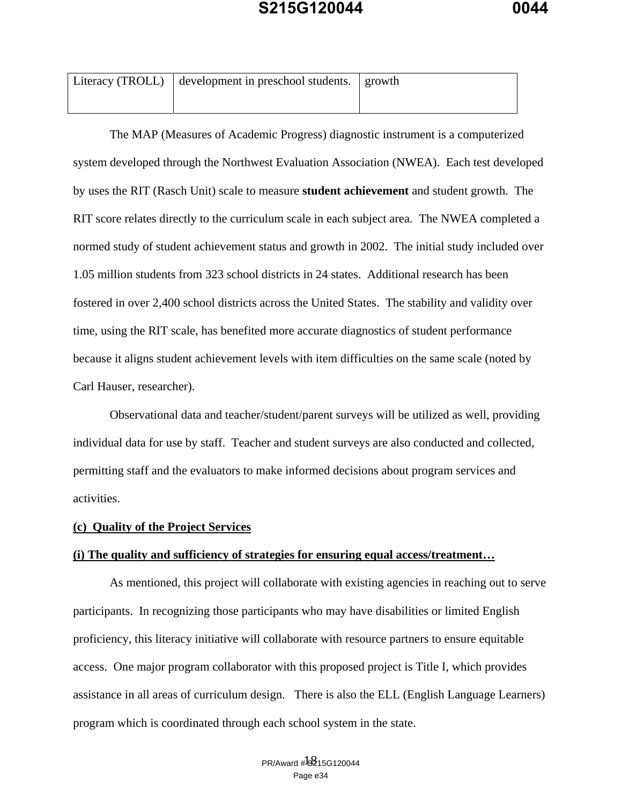| Literacy (TROLL) $\vert$ development in preschool students. $\vert$ growth |  |  |
|----------------------------------------------------------------------------|--|--|
|                                                                            |  |  |

 The MAP (Measures of Academic Progress) diagnostic instrument is a computerized system developed through the Northwest Evaluation Association (NWEA). Each test developed by uses the RIT (Rasch Unit) scale to measure **student achievement** and student growth. The RIT score relates directly to the curriculum scale in each subject area. The NWEA completed a normed study of student achievement status and growth in 2002. The initial study included over 1.05 million students from 323 school districts in 24 states. Additional research has been fostered in over 2,400 school districts across the United States. The stability and validity over time, using the RIT scale, has benefited more accurate diagnostics of student performance because it aligns student achievement levels with item difficulties on the same scale (noted by Carl Hauser, researcher).

 Observational data and teacher/student/parent surveys will be utilized as well, providing individual data for use by staff. Teacher and student surveys are also conducted and collected, permitting staff and the evaluators to make informed decisions about program services and activities.

#### **(c) Quality of the Project Services**

#### **(i) The quality and sufficiency of strategies for ensuring equal access/treatment…**

 As mentioned, this project will collaborate with existing agencies in reaching out to serve participants. In recognizing those participants who may have disabilities or limited English proficiency, this literacy initiative will collaborate with resource partners to ensure equitable access. One major program collaborator with this proposed project is Title I, which provides assistance in all areas of curriculum design. There is also the ELL (English Language Learners) program which is coordinated through each school system in the state.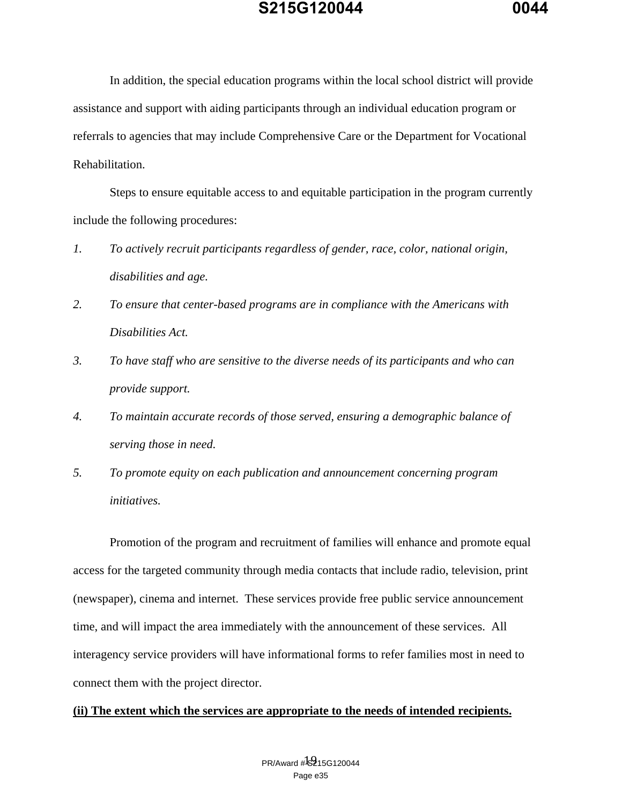In addition, the special education programs within the local school district will provide assistance and support with aiding participants through an individual education program or referrals to agencies that may include Comprehensive Care or the Department for Vocational Rehabilitation.

 Steps to ensure equitable access to and equitable participation in the program currently include the following procedures:

- *1. To actively recruit participants regardless of gender, race, color, national origin, disabilities and age.*
- *2. To ensure that center-based programs are in compliance with the Americans with Disabilities Act.*
- *3. To have staff who are sensitive to the diverse needs of its participants and who can provide support.*
- *4. To maintain accurate records of those served, ensuring a demographic balance of serving those in need.*
- *5. To promote equity on each publication and announcement concerning program initiatives.*

 Promotion of the program and recruitment of families will enhance and promote equal access for the targeted community through media contacts that include radio, television, print (newspaper), cinema and internet. These services provide free public service announcement time, and will impact the area immediately with the announcement of these services. All interagency service providers will have informational forms to refer families most in need to connect them with the project director.

#### **(ii) The extent which the services are appropriate to the needs of intended recipients.**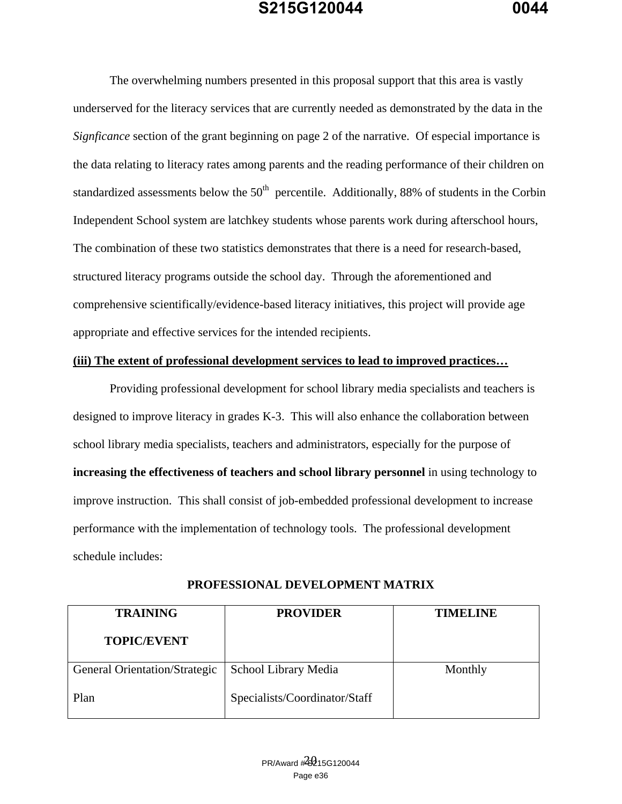The overwhelming numbers presented in this proposal support that this area is vastly underserved for the literacy services that are currently needed as demonstrated by the data in the *Signficance* section of the grant beginning on page 2 of the narrative. Of especial importance is the data relating to literacy rates among parents and the reading performance of their children on standardized assessments below the  $50<sup>th</sup>$  percentile. Additionally, 88% of students in the Corbin Independent School system are latchkey students whose parents work during afterschool hours, The combination of these two statistics demonstrates that there is a need for research-based, structured literacy programs outside the school day. Through the aforementioned and comprehensive scientifically/evidence-based literacy initiatives, this project will provide age appropriate and effective services for the intended recipients.

#### **(iii) The extent of professional development services to lead to improved practices…**

 Providing professional development for school library media specialists and teachers is designed to improve literacy in grades K-3. This will also enhance the collaboration between school library media specialists, teachers and administrators, especially for the purpose of **increasing the effectiveness of teachers and school library personnel** in using technology to improve instruction. This shall consist of job-embedded professional development to increase performance with the implementation of technology tools. The professional development schedule includes:

| <b>TRAINING</b>               | <b>PROVIDER</b>               | <b>TIMELINE</b> |
|-------------------------------|-------------------------------|-----------------|
| <b>TOPIC/EVENT</b>            |                               |                 |
| General Orientation/Strategic | School Library Media          | Monthly         |
| Plan                          | Specialists/Coordinator/Staff |                 |

**PROFESSIONAL DEVELOPMENT MATRIX**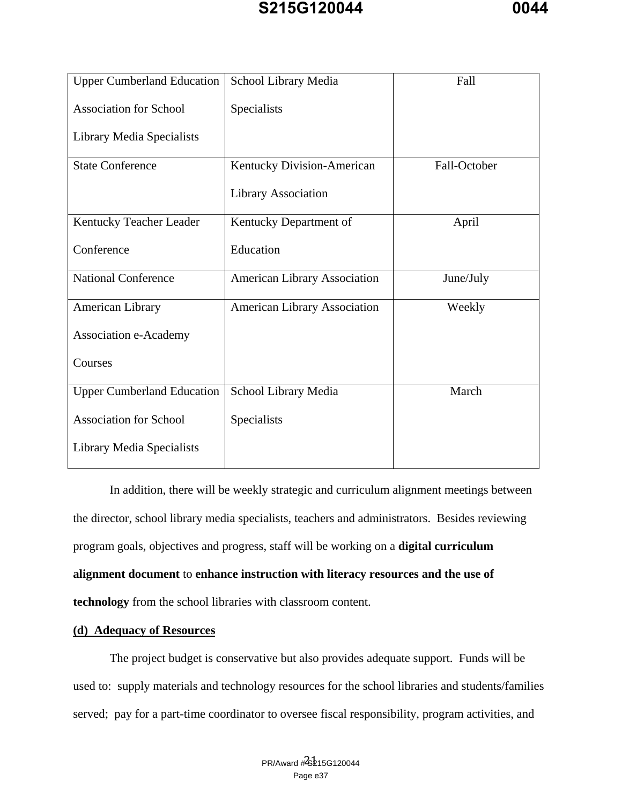| <b>Upper Cumberland Education</b> | School Library Media                | Fall         |
|-----------------------------------|-------------------------------------|--------------|
| <b>Association for School</b>     | Specialists                         |              |
| Library Media Specialists         |                                     |              |
| <b>State Conference</b>           | Kentucky Division-American          | Fall-October |
|                                   | Library Association                 |              |
| Kentucky Teacher Leader           | Kentucky Department of              | April        |
| Conference                        | Education                           |              |
| <b>National Conference</b>        | <b>American Library Association</b> | June/July    |
| <b>American Library</b>           | <b>American Library Association</b> | Weekly       |
| Association e-Academy             |                                     |              |
| Courses                           |                                     |              |
| <b>Upper Cumberland Education</b> | School Library Media                | March        |
| <b>Association for School</b>     | Specialists                         |              |
| Library Media Specialists         |                                     |              |

In addition, there will be weekly strategic and curriculum alignment meetings between the director, school library media specialists, teachers and administrators. Besides reviewing program goals, objectives and progress, staff will be working on a **digital curriculum alignment document** to **enhance instruction with literacy resources and the use of technology** from the school libraries with classroom content.

#### **(d) Adequacy of Resources**

 The project budget is conservative but also provides adequate support. Funds will be used to: supply materials and technology resources for the school libraries and students/families served; pay for a part-time coordinator to oversee fiscal responsibility, program activities, and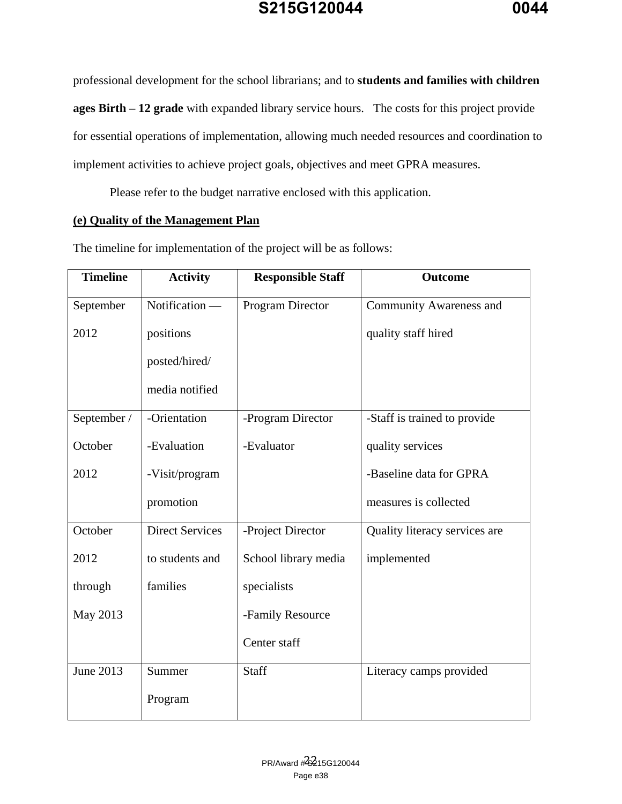professional development for the school librarians; and to **students and families with children ages Birth – 12 grade** with expanded library service hours. The costs for this project provide for essential operations of implementation, allowing much needed resources and coordination to implement activities to achieve project goals, objectives and meet GPRA measures.

Please refer to the budget narrative enclosed with this application.

### **(e) Quality of the Management Plan**

| <b>Timeline</b> | <b>Activity</b>        | <b>Responsible Staff</b> | <b>Outcome</b>                 |
|-----------------|------------------------|--------------------------|--------------------------------|
| September       | Notification -         | Program Director         | <b>Community Awareness and</b> |
| 2012            | positions              |                          | quality staff hired            |
|                 | posted/hired/          |                          |                                |
|                 | media notified         |                          |                                |
| September /     | -Orientation           | -Program Director        | -Staff is trained to provide   |
| October         | -Evaluation            | -Evaluator               | quality services               |
| 2012            | -Visit/program         |                          | -Baseline data for GPRA        |
|                 | promotion              |                          | measures is collected          |
| October         | <b>Direct Services</b> | -Project Director        | Quality literacy services are  |
| 2012            | to students and        | School library media     | implemented                    |
| through         | families               | specialists              |                                |
| May 2013        |                        | -Family Resource         |                                |
|                 |                        | Center staff             |                                |
| June 2013       | Summer                 | <b>Staff</b>             | Literacy camps provided        |
|                 | Program                |                          |                                |

The timeline for implementation of the project will be as follows: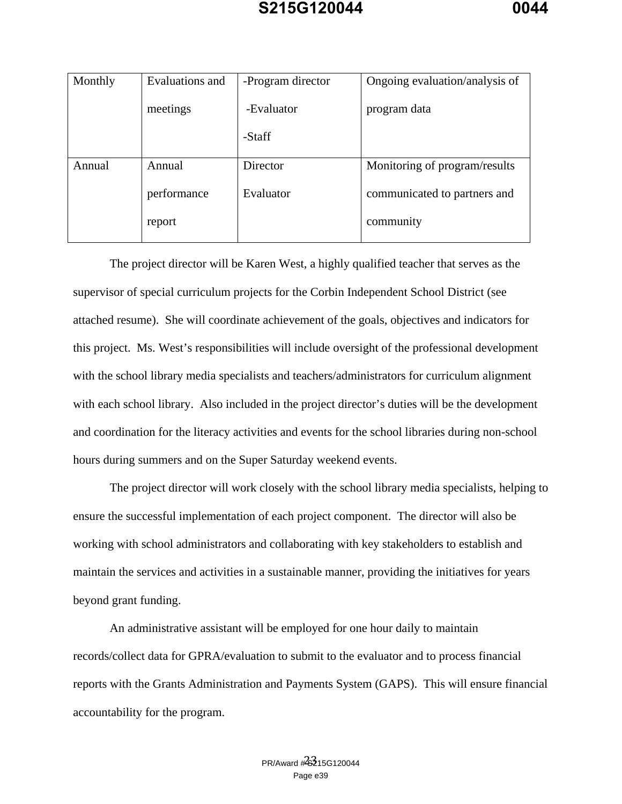| Monthly | Evaluations and | -Program director | Ongoing evaluation/analysis of |
|---------|-----------------|-------------------|--------------------------------|
|         |                 |                   |                                |
|         |                 |                   |                                |
|         | meetings        | -Evaluator        | program data                   |
|         |                 |                   |                                |
|         |                 |                   |                                |
|         |                 | -Staff            |                                |
|         |                 |                   |                                |
|         |                 |                   |                                |
| Annual  | Annual          | Director          | Monitoring of program/results  |
|         |                 |                   |                                |
|         |                 | Evaluator         |                                |
|         | performance     |                   | communicated to partners and   |
|         |                 |                   |                                |
|         | report          |                   | community                      |
|         |                 |                   |                                |
|         |                 |                   |                                |

The project director will be Karen West, a highly qualified teacher that serves as the supervisor of special curriculum projects for the Corbin Independent School District (see attached resume). She will coordinate achievement of the goals, objectives and indicators for this project. Ms. West's responsibilities will include oversight of the professional development with the school library media specialists and teachers/administrators for curriculum alignment with each school library. Also included in the project director's duties will be the development and coordination for the literacy activities and events for the school libraries during non-school hours during summers and on the Super Saturday weekend events.

 The project director will work closely with the school library media specialists, helping to ensure the successful implementation of each project component. The director will also be working with school administrators and collaborating with key stakeholders to establish and maintain the services and activities in a sustainable manner, providing the initiatives for years beyond grant funding.

 An administrative assistant will be employed for one hour daily to maintain records/collect data for GPRA/evaluation to submit to the evaluator and to process financial reports with the Grants Administration and Payments System (GAPS). This will ensure financial accountability for the program.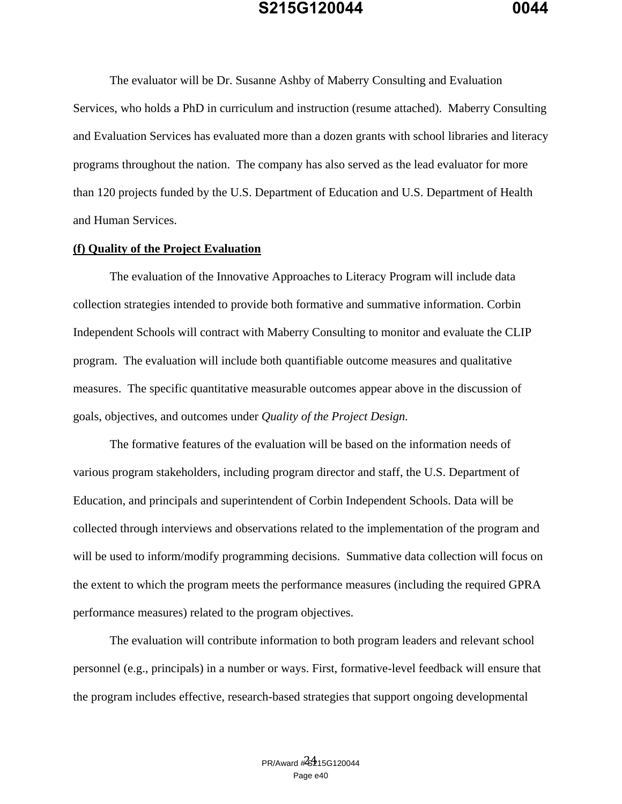The evaluator will be Dr. Susanne Ashby of Maberry Consulting and Evaluation Services, who holds a PhD in curriculum and instruction (resume attached). Maberry Consulting and Evaluation Services has evaluated more than a dozen grants with school libraries and literacy programs throughout the nation. The company has also served as the lead evaluator for more than 120 projects funded by the U.S. Department of Education and U.S. Department of Health and Human Services.

#### **(f) Quality of the Project Evaluation**

The evaluation of the Innovative Approaches to Literacy Program will include data collection strategies intended to provide both formative and summative information. Corbin Independent Schools will contract with Maberry Consulting to monitor and evaluate the CLIP program. The evaluation will include both quantifiable outcome measures and qualitative measures. The specific quantitative measurable outcomes appear above in the discussion of goals, objectives, and outcomes under *Quality of the Project Design.* 

The formative features of the evaluation will be based on the information needs of various program stakeholders, including program director and staff, the U.S. Department of Education, and principals and superintendent of Corbin Independent Schools. Data will be collected through interviews and observations related to the implementation of the program and will be used to inform/modify programming decisions. Summative data collection will focus on the extent to which the program meets the performance measures (including the required GPRA performance measures) related to the program objectives.

The evaluation will contribute information to both program leaders and relevant school personnel (e.g., principals) in a number or ways. First, formative-level feedback will ensure that the program includes effective, research-based strategies that support ongoing developmental